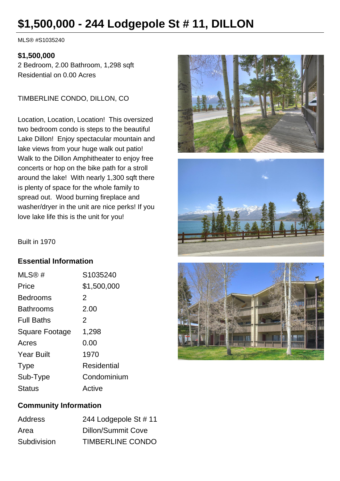# **\$1,500,000 - 244 Lodgepole St # 11, DILLON**

MLS® #S1035240

#### **\$1,500,000**

2 Bedroom, 2.00 Bathroom, 1,298 sqft Residential on 0.00 Acres

TIMBERLINE CONDO, DILLON, CO

Location, Location, Location! This oversized two bedroom condo is steps to the beautiful Lake Dillon! Enjoy spectacular mountain and lake views from your huge walk out patio! Walk to the Dillon Amphitheater to enjoy free concerts or hop on the bike path for a stroll around the lake! With nearly 1,300 sqft there is plenty of space for the whole family to spread out. Wood burning fireplace and washer/dryer in the unit are nice perks! If you love lake life this is the unit for you!





Built in 1970

## **Essential Information**

| MLS@#                 | S1035240    |
|-----------------------|-------------|
| Price                 | \$1,500,000 |
| Bedrooms              | 2           |
| Bathrooms             | 2.00        |
| <b>Full Baths</b>     | 2           |
| <b>Square Footage</b> | 1,298       |
| Acres                 | 0.00        |
| <b>Year Built</b>     | 1970        |
| <b>Type</b>           | Residential |
| Sub-Type              | Condominium |
| <b>Status</b>         | Active      |



## **Community Information**

| <b>Address</b> | 244 Lodgepole St # 11 |
|----------------|-----------------------|
| Area           | Dillon/Summit Cove    |
| Subdivision    | TIMBERLINE CONDO      |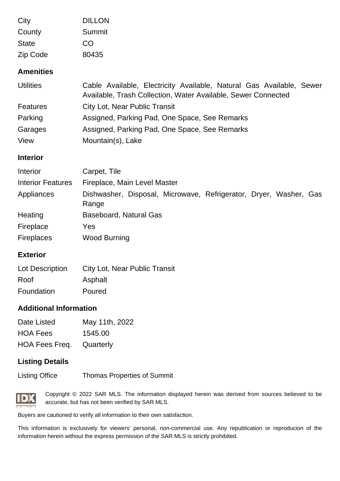| City                     | <b>DILLON</b>                                                                                                                         |
|--------------------------|---------------------------------------------------------------------------------------------------------------------------------------|
| County                   | <b>Summit</b>                                                                                                                         |
| <b>State</b>             | <b>CO</b>                                                                                                                             |
| Zip Code                 | 80435                                                                                                                                 |
| <b>Amenities</b>         |                                                                                                                                       |
| <b>Utilities</b>         | Cable Available, Electricity Available, Natural Gas Available, Sewer<br>Available, Trash Collection, Water Available, Sewer Connected |
| <b>Features</b>          | City Lot, Near Public Transit                                                                                                         |
| Parking                  | Assigned, Parking Pad, One Space, See Remarks                                                                                         |
| Garages                  | Assigned, Parking Pad, One Space, See Remarks                                                                                         |
| View                     | Mountain(s), Lake                                                                                                                     |
| <b>Interior</b>          |                                                                                                                                       |
| Interior                 | Carpet, Tile                                                                                                                          |
| <b>Interior Features</b> | Fireplace, Main Level Master                                                                                                          |
| Appliances               | Dishwasher, Disposal, Microwave, Refrigerator, Dryer, Washer, Gas<br>Range                                                            |
| Heating                  | <b>Baseboard, Natural Gas</b>                                                                                                         |
| Fireplace                | Yes                                                                                                                                   |
| <b>Fireplaces</b>        | <b>Wood Burning</b>                                                                                                                   |
| <b>Exterior</b>          |                                                                                                                                       |

| Lot Description | <b>City Lot, Near Public Transit</b> |
|-----------------|--------------------------------------|
| Roof            | Asphalt                              |
| Foundation      | Poured                               |

### **Additional Information**

| Date Listed                     | May 11th, 2022 |
|---------------------------------|----------------|
| <b>HOA Fees</b>                 | 1545.00        |
| <b>HOA Fees Freq.</b> Quarterly |                |

#### **Listing Details**

Listing Office Thomas Properties of Summit



Copyright © 2022 SAR MLS. The information displayed herein was derived from sources believed to be accurate, but has not been verified by SAR MLS.

Buyers are cautioned to verify all information to their own satisfaction.

This information is exclusively for viewers' personal, non-commercial use. Any republication or reproducion of the information herein without the express permission of the SAR MLS is strictly prohibited.